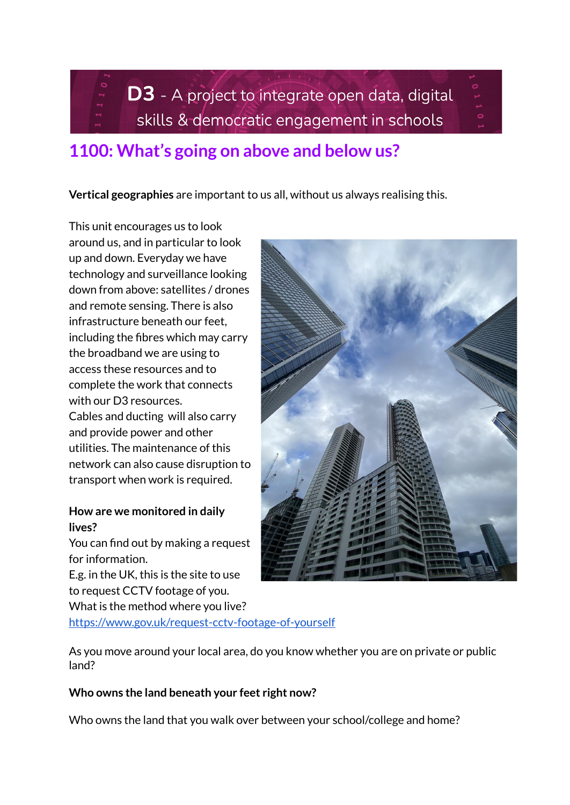D3 - A project to integrate open data, digital skills & democratic engagement in schools

# **1100: What's going on above and below us?**

**Vertical geographies** are important to us all, without us always realising this.

This unit encourages us to look around us, and in particular to look up and down. Everyday we have technology and surveillance looking down from above: satellites / drones and remote sensing. There is also infrastructure beneath our feet, including the fibres which may carry the broadband we are using to access these resources and to complete the work that connects with our D3 resources. Cables and ducting will also carry and provide power and other utilities. The maintenance of this network can also cause disruption to transport when work is required.

### **How are we monitored in daily lives?**

You can find out by making a request for information.

E.g. in the UK, this is the site to use to request CCTV footage of you. What is the method where you live?

<https://www.gov.uk/request-cctv-footage-of-yourself>

As you move around your local area, do you know whether you are on private or public land?

# **Who owns the land beneath your feet right now?**

Who owns the land that you walk over between your school/college and home?

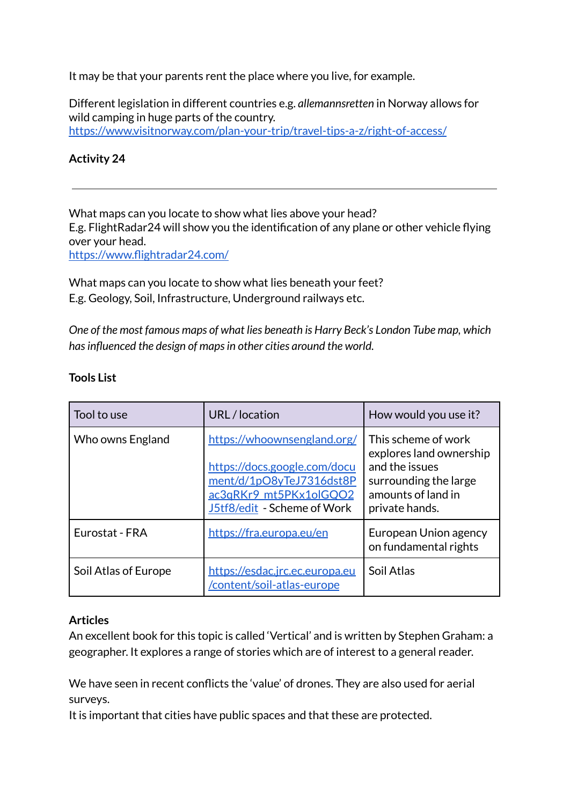It may be that your parents rent the place where you live, for example.

Different legislation in different countries e.g. *allemannsretten* in Norway allows for wild camping in huge parts of the country. <https://www.visitnorway.com/plan-your-trip/travel-tips-a-z/right-of-access/>

# **Activity 24**

What maps can you locate to show what lies above your head? E.g. FlightRadar24 will show you the identification of any plane or other vehicle flying over your head. <https://www.flightradar24.com/>

What maps can you locate to show what lies beneath your feet? E.g. Geology, Soil, Infrastructure, Underground railways etc.

*One of the most famous maps of what lies beneath is Harry Beck's London Tube map, which hasinfluenced the design of mapsin other cities around the world.*

| Tool to use          | URL / location                                                                                                                                   | How would you use it?                                                                                                             |
|----------------------|--------------------------------------------------------------------------------------------------------------------------------------------------|-----------------------------------------------------------------------------------------------------------------------------------|
| Who owns England     | https://whoownsengland.org/<br>https://docs.google.com/docu<br>ment/d/1pO8yTeJ7316dst8P<br>ac3qRKr9_mt5PKx1olGQO2<br>J5tf8/edit - Scheme of Work | This scheme of work<br>explores land ownership<br>and the issues<br>surrounding the large<br>amounts of land in<br>private hands. |
| Eurostat - FRA       | https://fra.europa.eu/en                                                                                                                         | European Union agency<br>on fundamental rights                                                                                    |
| Soil Atlas of Europe | https://esdac.jrc.ec.europa.eu<br>/content/soil-atlas-europe                                                                                     | Soil Atlas                                                                                                                        |

### **Tools List**

#### **Articles**

An excellent book for this topic is called 'Vertical' and is written by Stephen Graham: a geographer. It explores a range of stories which are of interest to a general reader.

We have seen in recent conflicts the 'value' of drones. They are also used for aerial surveys.

It is important that cities have public spaces and that these are protected.